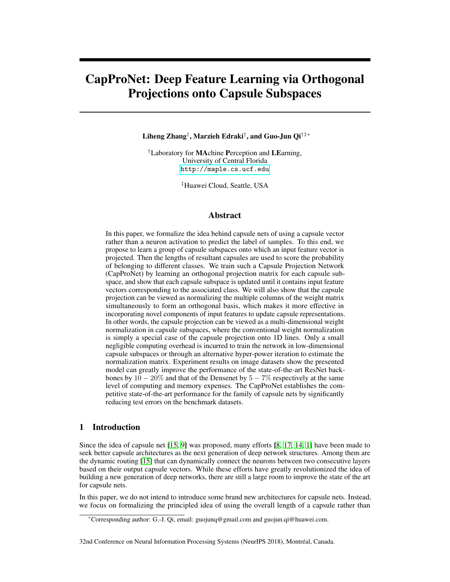# CapProNet: Deep Feature Learning via Orthogonal Projections onto Capsule Subspaces

Liheng Zhang† , Marzieh Edraki† , and Guo-Jun Qi†‡∗

†Laboratory for MAchine Perception and LEarning, University of Central Florida <http://maple.cs.ucf.edu>

‡Huawei Cloud, Seattle, USA

# Abstract

In this paper, we formalize the idea behind capsule nets of using a capsule vector rather than a neuron activation to predict the label of samples. To this end, we propose to learn a group of capsule subspaces onto which an input feature vector is projected. Then the lengths of resultant capsules are used to score the probability of belonging to different classes. We train such a Capsule Projection Network (CapProNet) by learning an orthogonal projection matrix for each capsule subspace, and show that each capsule subspace is updated until it contains input feature vectors corresponding to the associated class. We will also show that the capsule projection can be viewed as normalizing the multiple columns of the weight matrix simultaneously to form an orthogonal basis, which makes it more effective in incorporating novel components of input features to update capsule representations. In other words, the capsule projection can be viewed as a multi-dimensional weight normalization in capsule subspaces, where the conventional weight normalization is simply a special case of the capsule projection onto 1D lines. Only a small negligible computing overhead is incurred to train the network in low-dimensional capsule subspaces or through an alternative hyper-power iteration to estimate the normalization matrix. Experiment results on image datasets show the presented model can greatly improve the performance of the state-of-the-art ResNet backbones by  $10 - 20\%$  and that of the Densenet by  $5 - 7\%$  respectively at the same level of computing and memory expenses. The CapProNet establishes the competitive state-of-the-art performance for the family of capsule nets by significantly reducing test errors on the benchmark datasets.

# 1 Introduction

Since the idea of capsule net [15, 9] was proposed, many efforts [8, 17, 14, 1] have been made to seek better capsule architectures as the next generation of deep network structures. Among them are the dynamic routing [15] that can dynamically connect the neurons between two consecutive layers based on their output capsule vectors. While these efforts have greatly revolutionized the idea of building a new generation of deep networks, there are still a large room to improve the state of the art for capsule nets.

In this paper, we do not intend to introduce some brand new architectures for capsule nets. Instead, we focus on formalizing the principled idea of using the overall length of a capsule rather than

<sup>∗</sup>Corresponding author: G.-J. Qi, email: guojunq@gmail.com and guojun.qi@huawei.com.

<sup>32</sup>nd Conference on Neural Information Processing Systems (NeurIPS 2018), Montréal, Canada.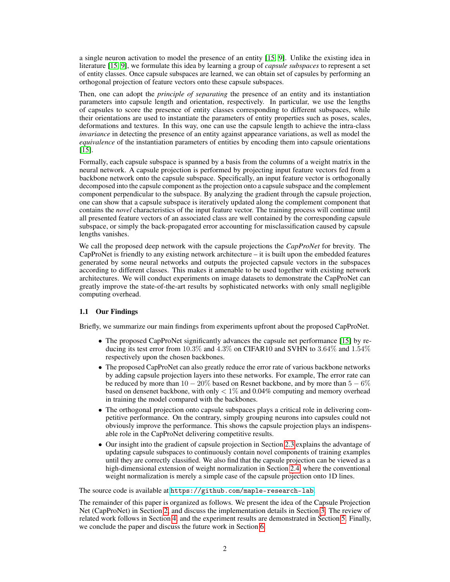a single neuron activation to model the presence of an entity [15, 9]. Unlike the existing idea in literature [15, 9], we formulate this idea by learning a group of *capsule subspaces* to represent a set of entity classes. Once capsule subspaces are learned, we can obtain set of capsules by performing an orthogonal projection of feature vectors onto these capsule subspaces.

Then, one can adopt the *principle of separating* the presence of an entity and its instantiation parameters into capsule length and orientation, respectively. In particular, we use the lengths of capsules to score the presence of entity classes corresponding to different subspaces, while their orientations are used to instantiate the parameters of entity properties such as poses, scales, deformations and textures. In this way, one can use the capsule length to achieve the intra-class *invariance* in detecting the presence of an entity against appearance variations, as well as model the *equivalence* of the instantiation parameters of entities by encoding them into capsule orientations [15].

Formally, each capsule subspace is spanned by a basis from the columns of a weight matrix in the neural network. A capsule projection is performed by projecting input feature vectors fed from a backbone network onto the capsule subspace. Specifically, an input feature vector is orthogonally decomposed into the capsule component as the projection onto a capsule subspace and the complement component perpendicular to the subspace. By analyzing the gradient through the capsule projection, one can show that a capsule subspace is iteratively updated along the complement component that contains the *novel* characteristics of the input feature vector. The training process will continue until all presented feature vectors of an associated class are well contained by the corresponding capsule subspace, or simply the back-propagated error accounting for misclassification caused by capsule lengths vanishes.

We call the proposed deep network with the capsule projections the *CapProNet* for brevity. The  $CapProNet$  is friendly to any existing network architecture – it is built upon the embedded features generated by some neural networks and outputs the projected capsule vectors in the subspaces according to different classes. This makes it amenable to be used together with existing network architectures. We will conduct experiments on image datasets to demonstrate the CapProNet can greatly improve the state-of-the-art results by sophisticated networks with only small negligible computing overhead.

#### 1.1 Our Findings

Briefly, we summarize our main findings from experiments upfront about the proposed CapProNet.

- The proposed CapProNet significantly advances the capsule net performance [15] by reducing its test error from  $10.3\%$  and  $4.3\%$  on CIFAR10 and SVHN to  $3.64\%$  and  $1.54\%$ respectively upon the chosen backbones.
- The proposed CapProNet can also greatly reduce the error rate of various backbone networks by adding capsule projection layers into these networks. For example, The error rate can be reduced by more than  $10 - 20\%$  based on Resnet backbone, and by more than  $5 - 6\%$ based on densenet backbone, with only  $< 1\%$  and 0.04% computing and memory overhead in training the model compared with the backbones.
- The orthogonal projection onto capsule subspaces plays a critical role in delivering competitive performance. On the contrary, simply grouping neurons into capsules could not obviously improve the performance. This shows the capsule projection plays an indispensable role in the CapProNet delivering competitive results.
- Our insight into the gradient of capsule projection in Section 2.3 explains the advantage of updating capsule subspaces to continuously contain novel components of training examples until they are correctly classified. We also find that the capsule projection can be viewed as a high-dimensional extension of weight normalization in Section 2.4, where the conventional weight normalization is merely a simple case of the capsule projection onto 1D lines.

The source code is available at <https://github.com/maple-research-lab>.

The remainder of this paper is organized as follows. We present the idea of the Capsule Projection Net (CapProNet) in Section 2, and discuss the implementation details in Section 3. The review of related work follows in Section 4, and the experiment results are demonstrated in Section 5. Finally, we conclude the paper and discuss the future work in Section 6.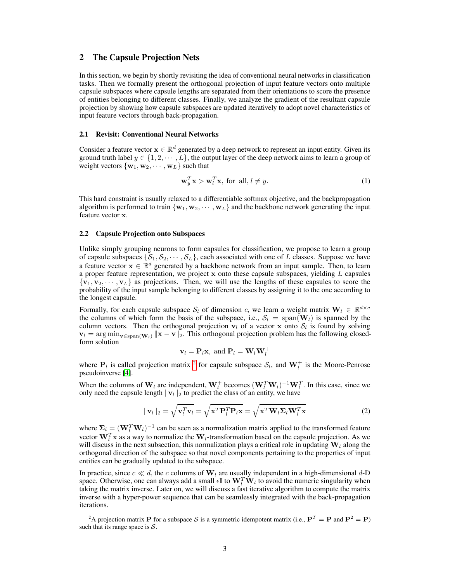# 2 The Capsule Projection Nets

In this section, we begin by shortly revisiting the idea of conventional neural networks in classification tasks. Then we formally present the orthogonal projection of input feature vectors onto multiple capsule subspaces where capsule lengths are separated from their orientations to score the presence of entities belonging to different classes. Finally, we analyze the gradient of the resultant capsule projection by showing how capsule subspaces are updated iteratively to adopt novel characteristics of input feature vectors through back-propagation.

#### 2.1 Revisit: Conventional Neural Networks

Consider a feature vector  $\mathbf{x} \in \mathbb{R}^d$  generated by a deep network to represent an input entity. Given its ground truth label  $y \in \{1, 2, \dots, L\}$ , the output layer of the deep network aims to learn a group of weight vectors  $\{w_1, w_2, \cdots, w_L\}$  such that

$$
\mathbf{w}_y^T \mathbf{x} > \mathbf{w}_l^T \mathbf{x}, \text{ for all, } l \neq y. \tag{1}
$$

This hard constraint is usually relaxed to a differentiable softmax objective, and the backpropagation algorithm is performed to train  $\{w_1, w_2, \dots, w_L\}$  and the backbone network generating the input feature vector x.

#### 2.2 Capsule Projection onto Subspaces

Unlike simply grouping neurons to form capsules for classification, we propose to learn a group of capsule subspaces  $\{S_1, S_2, \dots, S_L\}$ , each associated with one of L classes. Suppose we have a feature vector  $\mathbf{x} \in \mathbb{R}^d$  generated by a backbone network from an input sample. Then, to learn a proper feature representation, we project  $x$  onto these capsule subspaces, yielding  $L$  capsules  ${\bf v}_1, {\bf v}_2, \cdots, {\bf v}_L$  as projections. Then, we will use the lengths of these capsules to score the probability of the input sample belonging to different classes by assigning it to the one according to the longest capsule.

Formally, for each capsule subspace  $\mathcal{S}_l$  of dimension c, we learn a weight matrix  $\mathbf{W}_l \in \mathbb{R}^{d \times c}$ the columns of which form the basis of the subspace, i.e.,  $S_l = \text{span}(\mathbf{W}_l)$  is spanned by the column vectors. Then the orthogonal projection  $v_l$  of a vector x onto  $S_l$  is found by solving  $\mathbf{v}_l = \arg \min_{\mathbf{v} \in \text{span}(\mathbf{W}_l)} \|\mathbf{x} - \mathbf{v}\|_2$ . This orthogonal projection problem has the following closedform solution

$$
\mathbf{v}_l = \mathbf{P}_l \mathbf{x}, \text{ and } \mathbf{P}_l = \mathbf{W}_l \mathbf{W}_l^+
$$

where  $P_l$  is called projection matrix <sup>2</sup> for capsule subspace  $S_l$ , and  $W_l^+$  is the Moore-Penrose pseudoinverse [4].

When the columns of  $W_l$  are independent,  $W_l^+$  becomes  $(W_l^T W_l)^{-1} W_l^T$ . In this case, since we only need the capsule length  $||\mathbf{v}_l||_2$  to predict the class of an entity, we have

$$
\|\mathbf{v}_{l}\|_{2} = \sqrt{\mathbf{v}_{l}^{T}\mathbf{v}_{l}} = \sqrt{\mathbf{x}^{T}\mathbf{P}_{l}^{T}\mathbf{P}_{l}\mathbf{x}} = \sqrt{\mathbf{x}^{T}\mathbf{W}_{l}\Sigma_{l}\mathbf{W}_{l}^{T}\mathbf{x}}
$$
(2)

where  $\Sigma_l = (\mathbf{W}_l^T \mathbf{W}_l)^{-1}$  can be seen as a normalization matrix applied to the transformed feature vector  $\mathbf{W}_l^T \mathbf{x}$  as a way to normalize the  $\mathbf{W}_l$ -transformation based on the capsule projection. As we will discuss in the next subsection, this normalization plays a critical role in updating  $W_l$  along the orthogonal direction of the subspace so that novel components pertaining to the properties of input entities can be gradually updated to the subspace.

In practice, since  $c \ll d$ , the c columns of  $W_l$  are usually independent in a high-dimensional d-D space. Otherwise, one can always add a small  $\epsilon I$  to  $W_l^T W_l$  to avoid the numeric singularity when taking the matrix inverse. Later on, we will discuss a fast iterative algorithm to compute the matrix inverse with a hyper-power sequence that can be seamlessly integrated with the back-propagation iterations.

<sup>&</sup>lt;sup>2</sup>A projection matrix **P** for a subspace S is a symmetric idempotent matrix (i.e.,  $P^T = P$  and  $P^2 = P$ ) such that its range space is  $S$ .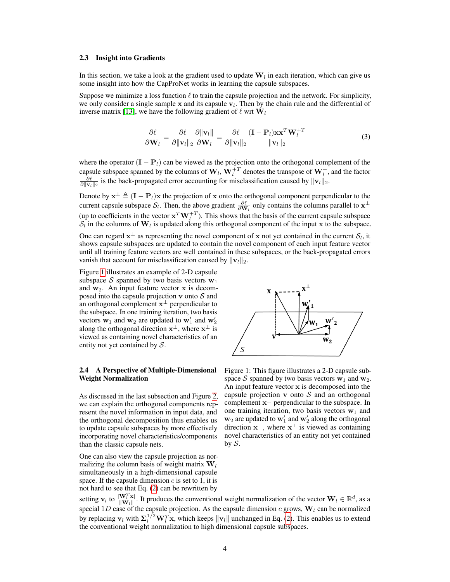#### 2.3 Insight into Gradients

In this section, we take a look at the gradient used to update  $W_l$  in each iteration, which can give us some insight into how the CapProNet works in learning the capsule subspaces.

Suppose we minimize a loss function  $\ell$  to train the capsule projection and the network. For simplicity, we only consider a single sample x and its capsule  $v_l$ . Then by the chain rule and the differential of inverse matrix [13], we have the following gradient of  $\ell$  wrt  $W_l$ 

$$
\frac{\partial \ell}{\partial \mathbf{W}_l} = \frac{\partial \ell}{\partial \|\mathbf{v}_l\|_2} \frac{\partial \|\mathbf{v}_l\|}{\partial \mathbf{W}_l} = \frac{\partial \ell}{\partial \|\mathbf{v}_l\|_2} \frac{(\mathbf{I} - \mathbf{P}_l) \mathbf{x} \mathbf{x}^T \mathbf{W}_l^{+T}}{\|\mathbf{v}_l\|_2}
$$
(3)

where the operator  $(I - P_l)$  can be viewed as the projection onto the orthogonal complement of the capsule subspace spanned by the columns of  $W_l$ ,  $W_l^+$  denotes the transpose of  $W_l^+$ , and the factor  $\frac{\partial \ell}{\partial ||\mathbf{v}_l||_2}$  is the back-propagated error accounting for misclassification caused by  $||\mathbf{v}_l||_2$ .

Denote by  $\mathbf{x}^{\perp} \triangleq (\mathbf{I} - \mathbf{P}_l)\mathbf{x}$  the projection of x onto the orthogonal component perpendicular to the current capsule subspace  $S_l$ . Then, the above gradient  $\frac{\partial \ell}{\partial \mathbf{W}_l}$  only contains the columns parallel to  $\mathbf{x}^\perp$ (up to coefficients in the vector  $\mathbf{x}^T \mathbf{W}_l^{+T}$ ). This shows that the basis of the current capsule subspace  $S_l$  in the columns of  $W_l$  is updated along this orthogonal component of the input x to the subspace.

One can regard  $x^{\perp}$  as representing the novel component of x not yet contained in the current  $\mathcal{S}_l$ , it shows capsule subspaces are updated to contain the novel component of each input feature vector until all training feature vectors are well contained in these subspaces, or the back-propagated errors vanish that account for misclassification caused by  $||\mathbf{v}_l||_2$ .

Figure 1 illustrates an example of 2-D capsule subspace S spanned by two basis vectors  $w_1$ and  $w_2$ . An input feature vector x is decomposed into the capsule projection  $\bf{v}$  onto  $\bf{\mathcal{S}}$  and an orthogonal complement  $x^{\perp}$  perpendicular to the subspace. In one training iteration, two basis vectors  $\mathbf{w}_1$  and  $\mathbf{w}_2$  are updated to  $\mathbf{w}'_1$  and  $\mathbf{w}'_2$ along the orthogonal direction  $x^{\perp}$ , where  $x^{\perp}$  is viewed as containing novel characteristics of an entity not yet contained by  $S$ .

#### 2.4 A Perspective of Multiple-Dimensional Weight Normalization

As discussed in the last subsection and Figure 2, we can explain the orthogonal components represent the novel information in input data, and the orthogonal decomposition thus enables us to update capsule subspaces by more effectively incorporating novel characteristics/components than the classic capsule nets.

One can also view the capsule projection as normalizing the column basis of weight matrix  $W_l$ simultaneously in a high-dimensional capsule space. If the capsule dimension  $c$  is set to 1, it is not hard to see that Eq. (2) can be rewritten by



Figure 1: This figure illustrates a 2-D capsule subspace S spanned by two basis vectors  $w_1$  and  $w_2$ . An input feature vector x is decomposed into the capsule projection  $\bf{v}$  onto  $\bf{S}$  and an orthogonal complement  $x^{\perp}$  perpendicular to the subspace. In one training iteration, two basis vectors  $w_1$  and  $w_2$  are updated to  $w'_1$  and  $w'_2$  along the orthogonal direction  $x^{\perp}$ , where  $x^{\perp}$  is viewed as containing novel characteristics of an entity not yet contained by  $S$ .

setting  $\mathbf{v}_l$  to  $\frac{|\mathbf{W}_l^T \mathbf{x}|}{|\mathbf{W}_l||}$ . It produces the conventional weight normalization of the vector  $\mathbf{W}_l \in \mathbb{R}^d$ , as a special 1D case of the capsule projection. As the capsule dimension c grows,  $W_l$  can be normalized by replacing  $v_l$  with  $\Sigma_l^{1/2} W_l^T x$ , which keeps  $||v_l||$  unchanged in Eq. (2). This enables us to extend the conventional weight normalization to high dimensional capsule subspaces.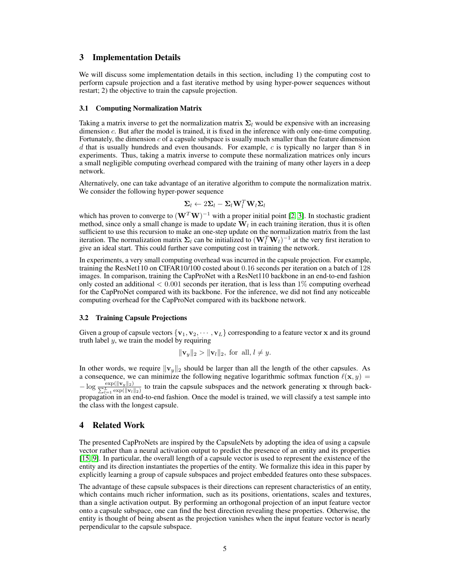# 3 Implementation Details

We will discuss some implementation details in this section, including 1) the computing cost to perform capsule projection and a fast iterative method by using hyper-power sequences without restart; 2) the objective to train the capsule projection.

#### 3.1 Computing Normalization Matrix

Taking a matrix inverse to get the normalization matrix  $\Sigma_l$  would be expensive with an increasing dimension c. But after the model is trained, it is fixed in the inference with only one-time computing. Fortunately, the dimension  $c$  of a capsule subspace is usually much smaller than the feature dimension d that is usually hundreds and even thousands. For example,  $c$  is typically no larger than 8 in experiments. Thus, taking a matrix inverse to compute these normalization matrices only incurs a small negligible computing overhead compared with the training of many other layers in a deep network.

Alternatively, one can take advantage of an iterative algorithm to compute the normalization matrix. We consider the following hyper-power sequence

$$
\boldsymbol{\Sigma}_l \leftarrow 2\boldsymbol{\Sigma}_l - \boldsymbol{\Sigma}_l \mathbf{W}_l^T \mathbf{W}_l \boldsymbol{\Sigma}_l
$$

which has proven to converge to  $(W^T W)^{-1}$  with a proper initial point [2, 3]. In stochastic gradient method, since only a small change is made to update  $\mathbf{W}_l$  in each training iteration, thus it is often sufficient to use this recursion to make an one-step update on the normalization matrix from the last iteration. The normalization matrix  $\Sigma_l$  can be initialized to  $(\mathbf{W}_l^T \mathbf{W}_l)^{-1}$  at the very first iteration to give an ideal start. This could further save computing cost in training the network.

In experiments, a very small computing overhead was incurred in the capsule projection. For example, training the ResNet110 on CIFAR10/100 costed about 0.16 seconds per iteration on a batch of 128 images. In comparison, training the CapProNet with a ResNet110 backbone in an end-to-end fashion only costed an additional  $< 0.001$  seconds per iteration, that is less than 1% computing overhead for the CapProNet compared with its backbone. For the inference, we did not find any noticeable computing overhead for the CapProNet compared with its backbone network.

#### 3.2 Training Capsule Projections

Given a group of capsule vectors  $\{v_1, v_2, \dots, v_L\}$  corresponding to a feature vector x and its ground truth label  $y$ , we train the model by requiring

$$
\|\mathbf{v}_y\|_2 > \|\mathbf{v}_l\|_2
$$
, for all,  $l \neq y$ .

In other words, we require  $\|\mathbf{v}_y\|_2$  should be larger than all the length of the other capsules. As a consequence, we can minimize the following negative logarithmic softmax function  $\ell(\mathbf{x}, y) =$  $-\log \frac{\exp(||\mathbf{v}_y||_2)}{\sum_{l=1}^L \exp(||\mathbf{v}_l||_2)}$  to train the capsule subspaces and the network generating x through backpropagation in an end-to-end fashion. Once the model is trained, we will classify a test sample into the class with the longest capsule.

# 4 Related Work

The presented CapProNets are inspired by the CapsuleNets by adopting the idea of using a capsule vector rather than a neural activation output to predict the presence of an entity and its properties [15, 9]. In particular, the overall length of a capsule vector is used to represent the existence of the entity and its direction instantiates the properties of the entity. We formalize this idea in this paper by explicitly learning a group of capsule subspaces and project embedded features onto these subspaces.

The advantage of these capsule subspaces is their directions can represent characteristics of an entity, which contains much richer information, such as its positions, orientations, scales and textures, than a single activation output. By performing an orthogonal projection of an input feature vector onto a capsule subspace, one can find the best direction revealing these properties. Otherwise, the entity is thought of being absent as the projection vanishes when the input feature vector is nearly perpendicular to the capsule subspace.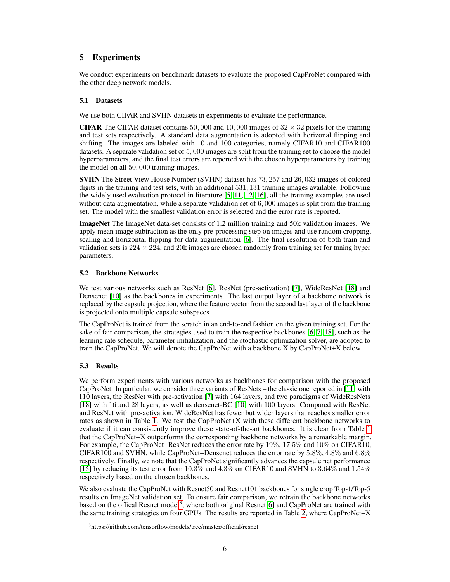# 5 Experiments

We conduct experiments on benchmark datasets to evaluate the proposed CapProNet compared with the other deep network models.

# 5.1 Datasets

We use both CIFAR and SVHN datasets in experiments to evaluate the performance.

**CIFAR** The CIFAR dataset contains 50,000 and 10,000 images of  $32 \times 32$  pixels for the training and test sets respectively. A standard data augmentation is adopted with horizonal flipping and shifting. The images are labeled with 10 and 100 categories, namely CIFAR10 and CIFAR100 datasets. A separate validation set of 5, 000 images are split from the training set to choose the model hyperparameters, and the final test errors are reported with the chosen hyperparameters by training the model on all 50, 000 training images.

SVHN The Street View House Number (SVHN) dataset has 73, 257 and 26, 032 images of colored digits in the training and test sets, with an additional 531, 131 training images available. Following the widely used evaluation protocol in literature [5, 11, 12, 16], all the training examples are used without data augmentation, while a separate validation set of  $6,000$  images is split from the training set. The model with the smallest validation error is selected and the error rate is reported.

ImageNet The ImageNet data-set consists of 1.2 million training and 50k validation images. We apply mean image subtraction as the only pre-processing step on images and use random cropping, scaling and horizontal flipping for data augmentation [6]. The final resolution of both train and validation sets is  $224 \times 224$ , and 20k images are chosen randomly from training set for tuning hyper parameters.

# 5.2 Backbone Networks

We test various networks such as ResNet [6], ResNet (pre-activation) [7], WideResNet [18] and Densenet [10] as the backbones in experiments. The last output layer of a backbone network is replaced by the capsule projection, where the feature vector from the second last layer of the backbone is projected onto multiple capsule subspaces.

The CapProNet is trained from the scratch in an end-to-end fashion on the given training set. For the sake of fair comparison, the strategies used to train the respective backbones [6, 7, 18], such as the learning rate schedule, parameter initialization, and the stochastic optimization solver, are adopted to train the CapProNet. We will denote the CapProNet with a backbone X by CapProNet+X below.

# 5.3 Results

We perform experiments with various networks as backbones for comparison with the proposed CapProNet. In particular, we consider three variants of ResNets – the classic one reported in [11] with 110 layers, the ResNet with pre-activation [7] with 164 layers, and two paradigms of WideResNets [18] with 16 and 28 layers, as well as densenet-BC [10] with 100 layers. Compared with ResNet and ResNet with pre-activation, WideResNet has fewer but wider layers that reaches smaller error rates as shown in Table 1. We test the CapProNet+X with these different backbone networks to evaluate if it can consistently improve these state-of-the-art backbones. It is clear from Table 1 that the CapProNet+X outperforms the corresponding backbone networks by a remarkable margin. For example, the CapProNet+ResNet reduces the error rate by 19%, 17.5% and 10% on CIFAR10, CIFAR100 and SVHN, while CapProNet+Densenet reduces the error rate by 5.8%, 4.8% and 6.8% respectively. Finally, we note that the CapProNet significantly advances the capsule net performance [15] by reducing its test error from 10.3% and 4.3% on CIFAR10 and SVHN to 3.64% and 1.54% respectively based on the chosen backbones.

We also evaluate the CapProNet with Resnet50 and Resnet101 backbones for single crop Top-1/Top-5 results on ImageNet validation set. To ensure fair comparison, we retrain the backbone networks based on the offical Resnet model<sup>3</sup>, where both original Resnet[6] and CapProNet are trained with the same training strategies on four GPUs. The results are reported in Table 2, where CapProNet+X

<sup>3</sup> https://github.com/tensorflow/models/tree/master/official/resnet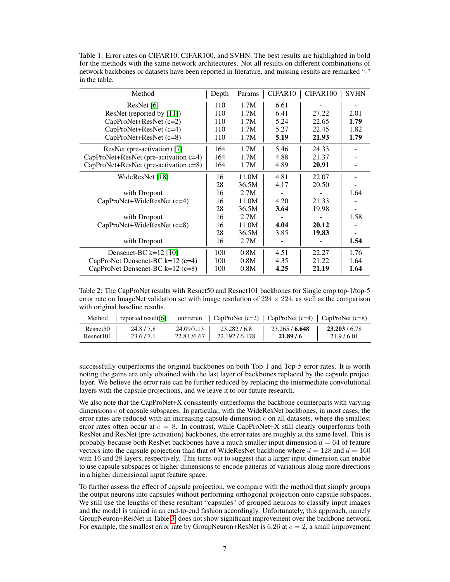Table 1: Error rates on CIFAR10, CIFAR100, and SVHN. The best results are highlighted in bold for the methods with the same network architectures. Not all results on different combinations of network backbones or datasets have been reported in literature, and missing results are remarked "-" in the table.

| Method                                | Depth | Params | CIFAR <sub>10</sub> | CIFAR <sub>100</sub> | <b>SVHN</b> |
|---------------------------------------|-------|--------|---------------------|----------------------|-------------|
| ResNet $[6]$                          | 110   | 1.7M   | 6.61                |                      |             |
| ResNet (reported by $[11]$ )          | 110   | 1.7M   | 6.41                | 27.22                | 2.01        |
| CapProNet+ResNet (c=2)                | 110   | 1.7M   | 5.24                | 22.65                | 1.79        |
| CapProNet+ResNet (c=4)                | 110   | 1.7M   | 5.27                | 22.45                | 1.82        |
| CapProNet+ResNet (c=8)                | 110   | 1.7M   | 5.19                | 21.93                | 1.79        |
| ResNet (pre-activation) [7]           | 164   | 1.7M   | 5.46                | 24.33                |             |
| CapProNet+ResNet (pre-activation c=4) | 164   | 1.7M   | 4.88                | 21.37                |             |
| CapProNet+ResNet (pre-activation c=8) | 164   | 1.7M   | 4.89                | 20.91                |             |
| WideResNet [18]                       | 16    | 11.0M  | 4.81                | 22.07                |             |
|                                       | 28    | 36.5M  | 4.17                | 20.50                |             |
| with Dropout                          | 16    | 2.7M   |                     |                      | 1.64        |
| CapProNet+WideResNet (c=4)            | 16    | 11.0M  | 4.20                | 21.33                |             |
|                                       | 28    | 36.5M  | 3.64                | 19.98                |             |
| with Dropout                          | 16    | 2.7M   |                     |                      | 1.58        |
| CapProNet+WideResNet (c=8)            | 16    | 11.0M  | 4.04                | 20.12                |             |
|                                       | 28    | 36.5M  | 3.85                | 19.83                |             |
| with Dropout                          | 16    | 2.7M   |                     |                      | 1.54        |
| Densenet-BC $k=12$ [10]               | 100   | 0.8M   | 4.51                | 22.27                | 1.76        |
| CapProNet Densenet-BC $k=12$ (c=4)    | 100   | 0.8M   | 4.35                | 21.22                | 1.64        |
| CapProNet Densenet-BC $k=12$ (c=8)    | 100   | 0.8M   | 4.25                | 21.19                | 1.64        |

Table 2: The CapProNet results with Resnet50 and Resnet101 backbones for Single crop top-1/top-5 error rate on ImageNet validation set with image resolution of  $224 \times 224$ , as well as the comparison with original baseline results.

| Method               | reported result[6] $\vert$ our rerun |            | $\vert$ CapProNet (c=2) $\vert$ CapProNet (c=4) $\vert$ CapProNet (c=8) |              |             |
|----------------------|--------------------------------------|------------|-------------------------------------------------------------------------|--------------|-------------|
| Resnet <sub>50</sub> | 24.8/7.8                             | 24.09/7.13 | 23.282/6.8                                                              | 23.265/6.648 | 23.203/6.78 |
| Resnet101            | 23.6/7.1                             | 22.81/6.67 | 22.192/6.178                                                            | 21.89/6      | 21.9/6.01   |

successfully outperforms the original backbones on both Top-1 and Top-5 error rates. It is worth noting the gains are only obtained with the last layer of backbones replaced by the capsule project layer. We believe the error rate can be further reduced by replacing the intermediate convolutional layers with the capsule projections, and we leave it to our future research.

We also note that the CapProNet+X consistently outperforms the backbone counterparts with varying dimensions c of capsule subspaces. In particular, with the WideResNet backbones, in most cases, the error rates are reduced with an increasing capsule dimension  $c$  on all datasets, where the smallest error rates often occur at  $c = 8$ . In contrast, while CapProNet+X still clearly outperforms both ResNet and ResNet (pre-activation) backbones, the error rates are roughly at the same level. This is probably because both ResNet backbones have a much smaller input dimension  $d = 64$  of feature vectors into the capsule projection than that of WideResNet backbone where  $d = 128$  and  $d = 160$ with 16 and 28 layers, respectively. This turns out to suggest that a larger input dimension can enable to use capsule subspaces of higher dimensions to encode patterns of variations along more directions in a higher dimensional input feature space.

To further assess the effect of capsule projection, we compare with the method that simply groups the output neurons into capsules without performing orthogonal projection onto capsule subspaces. We still use the lengths of these resultant "capsules" of grouped neurons to classify input images and the model is trained in an end-to-end fashion accordingly. Unfortunately, this approach, namely GroupNeuron+ResNet in Table 3, does not show significant improvement over the backbone network. For example, the smallest error rate by GroupNeuron+ResNet is 6.26 at  $c = 2$ , a small improvement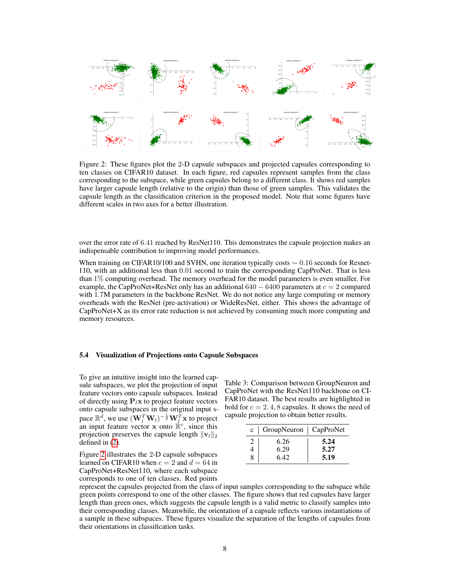

Figure 2: These figures plot the 2-D capsule subspaces and projected capsules corresponding to ten classes on CIFAR10 dataset. In each figure, red capsules represent samples from the class corresponding to the subspace, while green capsules belong to a different class. It shows red samples have larger capsule length (relative to the origin) than those of green samples. This validates the capsule length as the classification criterion in the proposed model. Note that some figures have different scales in two axes for a better illustration.

over the error rate of 6.41 reached by ResNet110. This demonstrates the capsule projection makes an indispensable contribution to improving model performances.

When training on CIFAR10/100 and SVHN, one iteration typically costs  $\sim 0.16$  seconds for Resnet-110, with an additional less than 0.01 second to train the corresponding CapProNet. That is less than 1% computing overhead. The memory overhead for the model parameters is even smaller. For example, the CapProNet+ResNet only has an additional  $640 - 6400$  parameters at  $c = 2$  compared with 1.7M parameters in the backbone ResNet. We do not notice any large computing or memory overheads with the ResNet (pre-activation) or WideResNet, either. This shows the advantage of CapProNet+X as its error rate reduction is not achieved by consuming much more computing and memory resources.

#### 5.4 Visualization of Projections onto Capsule Subspaces

To give an intuitive insight into the learned capsule subspaces, we plot the projection of input feature vectors onto capsule subspaces. Instead of directly using  $P_l$ x to project feature vectors onto capsule subspaces in the original input space  $\mathbb{R}^d$ , we use  $(\mathbf{W}_l^T \mathbf{W}_l)^{-\frac{1}{2}} \mathbf{W}_l^T \mathbf{x}$  to project an input feature vector  $\mathbf{x}$  onto  $\mathbb{R}^c$ , since this projection preserves the capsule length  $||\mathbf{v}_l||_2$ defined in (2).

Figure 2 illustrates the 2-D capsule subspaces learned on CIFAR10 when  $c = 2$  and  $d = 64$  in CapProNet+ResNet110, where each subspace corresponds to one of ten classes. Red points

Table 3: Comparison between GroupNeuron and CapProNet with the ResNet110 backbone on CI-FAR10 dataset. The best results are highlighted in bold for  $c = 2, 4, 8$  capsules. It shows the need of capsule projection to obtain better results.

|   | $c \mid$ GroupNeuron $\mid$ CapProNet |      |
|---|---------------------------------------|------|
| 2 | 6.26                                  | 5.24 |
|   | 6.29                                  | 5.27 |
| 8 | 6.42                                  | 5.19 |

represent the capsules projected from the class of input samples corresponding to the subspace while green points correspond to one of the other classes. The figure shows that red capsules have larger length than green ones, which suggests the capsule length is a valid metric to classify samples into their corresponding classes. Meanwhile, the orientation of a capsule reflects various instantiations of a sample in these subspaces. These figures visualize the separation of the lengths of capsules from their orientations in classification tasks.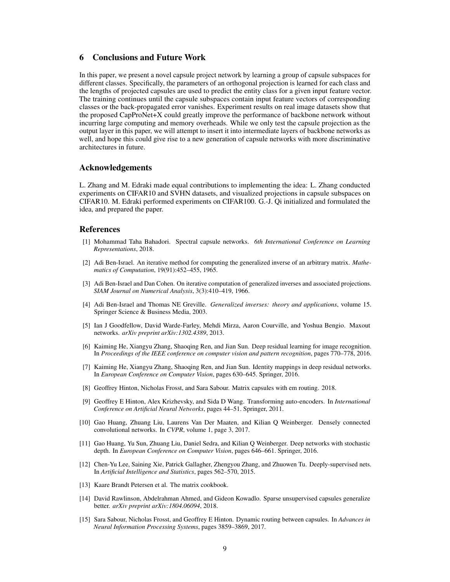# 6 Conclusions and Future Work

In this paper, we present a novel capsule project network by learning a group of capsule subspaces for different classes. Specifically, the parameters of an orthogonal projection is learned for each class and the lengths of projected capsules are used to predict the entity class for a given input feature vector. The training continues until the capsule subspaces contain input feature vectors of corresponding classes or the back-propagated error vanishes. Experiment results on real image datasets show that the proposed CapProNet+X could greatly improve the performance of backbone network without incurring large computing and memory overheads. While we only test the capsule projection as the output layer in this paper, we will attempt to insert it into intermediate layers of backbone networks as well, and hope this could give rise to a new generation of capsule networks with more discriminative architectures in future.

# Acknowledgements

L. Zhang and M. Edraki made equal contributions to implementing the idea: L. Zhang conducted experiments on CIFAR10 and SVHN datasets, and visualized projections in capsule subspaces on CIFAR10. M. Edraki performed experiments on CIFAR100. G.-J. Qi initialized and formulated the idea, and prepared the paper.

# References

- [1] Mohammad Taha Bahadori. Spectral capsule networks. *6th International Conference on Learning Representations*, 2018.
- [2] Adi Ben-Israel. An iterative method for computing the generalized inverse of an arbitrary matrix. *Mathematics of Computation*, 19(91):452–455, 1965.
- [3] Adi Ben-Israel and Dan Cohen. On iterative computation of generalized inverses and associated projections. *SIAM Journal on Numerical Analysis*, 3(3):410–419, 1966.
- [4] Adi Ben-Israel and Thomas NE Greville. *Generalized inverses: theory and applications*, volume 15. Springer Science & Business Media, 2003.
- [5] Ian J Goodfellow, David Warde-Farley, Mehdi Mirza, Aaron Courville, and Yoshua Bengio. Maxout networks. *arXiv preprint arXiv:1302.4389*, 2013.
- [6] Kaiming He, Xiangyu Zhang, Shaoqing Ren, and Jian Sun. Deep residual learning for image recognition. In *Proceedings of the IEEE conference on computer vision and pattern recognition*, pages 770–778, 2016.
- [7] Kaiming He, Xiangyu Zhang, Shaoqing Ren, and Jian Sun. Identity mappings in deep residual networks. In *European Conference on Computer Vision*, pages 630–645. Springer, 2016.
- [8] Geoffrey Hinton, Nicholas Frosst, and Sara Sabour. Matrix capsules with em routing. 2018.
- [9] Geoffrey E Hinton, Alex Krizhevsky, and Sida D Wang. Transforming auto-encoders. In *International Conference on Artificial Neural Networks*, pages 44–51. Springer, 2011.
- [10] Gao Huang, Zhuang Liu, Laurens Van Der Maaten, and Kilian Q Weinberger. Densely connected convolutional networks. In *CVPR*, volume 1, page 3, 2017.
- [11] Gao Huang, Yu Sun, Zhuang Liu, Daniel Sedra, and Kilian Q Weinberger. Deep networks with stochastic depth. In *European Conference on Computer Vision*, pages 646–661. Springer, 2016.
- [12] Chen-Yu Lee, Saining Xie, Patrick Gallagher, Zhengyou Zhang, and Zhuowen Tu. Deeply-supervised nets. In *Artificial Intelligence and Statistics*, pages 562–570, 2015.
- [13] Kaare Brandt Petersen et al. The matrix cookbook.
- [14] David Rawlinson, Abdelrahman Ahmed, and Gideon Kowadlo. Sparse unsupervised capsules generalize better. *arXiv preprint arXiv:1804.06094*, 2018.
- [15] Sara Sabour, Nicholas Frosst, and Geoffrey E Hinton. Dynamic routing between capsules. In *Advances in Neural Information Processing Systems*, pages 3859–3869, 2017.